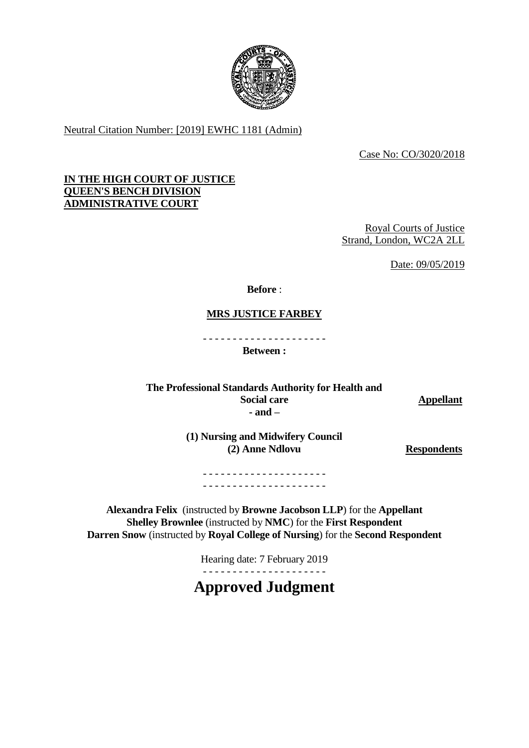

Neutral Citation Number: [2019] EWHC 1181 (Admin)

Case No: CO/3020/2018

# **IN THE HIGH COURT OF JUSTICE QUEEN'S BENCH DIVISION ADMINISTRATIVE COURT**

Royal Courts of Justice Strand, London, WC2A 2LL

Date: 09/05/2019

**Before** :

**MRS JUSTICE FARBEY** 

- - - - - - - - - - - - - - - - - - - - -

**Between :**

**The Professional Standards Authority for Health and Social care Appellant - and –**

**(1) Nursing and Midwifery Council (2) Anne Ndlovu Respondents**

- - - - - - - - - - - - - - - - - - - - - - - - - - - - - - - - - - - - - - - - - -

**Alexandra Felix** (instructed by **Browne Jacobson LLP**) for the **Appellant Shelley Brownlee** (instructed by **NMC**) for the **First Respondent Darren Snow** (instructed by **Royal College of Nursing**) for the **Second Respondent**

Hearing date: 7 February 2019

**Approved Judgment**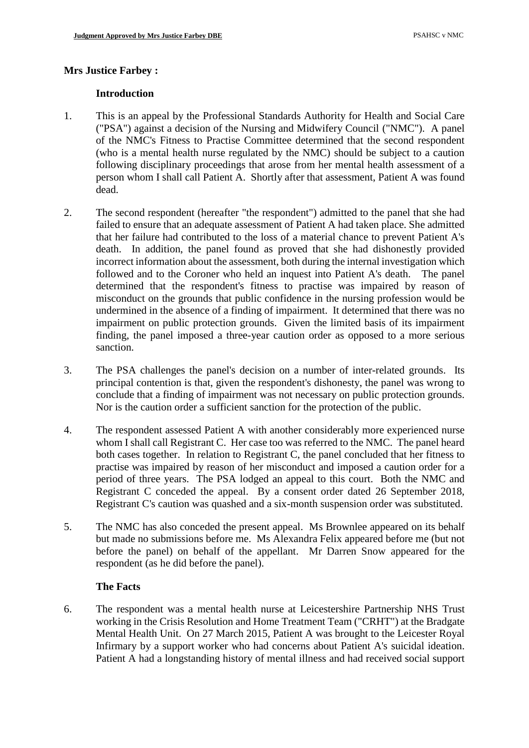# **Mrs Justice Farbey :**

## **Introduction**

- 1. This is an appeal by the Professional Standards Authority for Health and Social Care ("PSA") against a decision of the Nursing and Midwifery Council ("NMC"). A panel of the NMC's Fitness to Practise Committee determined that the second respondent (who is a mental health nurse regulated by the NMC) should be subject to a caution following disciplinary proceedings that arose from her mental health assessment of a person whom I shall call Patient A. Shortly after that assessment, Patient A was found dead.
- 2. The second respondent (hereafter "the respondent") admitted to the panel that she had failed to ensure that an adequate assessment of Patient A had taken place. She admitted that her failure had contributed to the loss of a material chance to prevent Patient A's death. In addition, the panel found as proved that she had dishonestly provided incorrect information about the assessment, both during the internal investigation which followed and to the Coroner who held an inquest into Patient A's death. The panel determined that the respondent's fitness to practise was impaired by reason of misconduct on the grounds that public confidence in the nursing profession would be undermined in the absence of a finding of impairment. It determined that there was no impairment on public protection grounds. Given the limited basis of its impairment finding, the panel imposed a three-year caution order as opposed to a more serious sanction.
- 3. The PSA challenges the panel's decision on a number of inter-related grounds. Its principal contention is that, given the respondent's dishonesty, the panel was wrong to conclude that a finding of impairment was not necessary on public protection grounds. Nor is the caution order a sufficient sanction for the protection of the public.
- 4. The respondent assessed Patient A with another considerably more experienced nurse whom I shall call Registrant C. Her case too was referred to the NMC. The panel heard both cases together. In relation to Registrant C, the panel concluded that her fitness to practise was impaired by reason of her misconduct and imposed a caution order for a period of three years. The PSA lodged an appeal to this court. Both the NMC and Registrant C conceded the appeal. By a consent order dated 26 September 2018, Registrant C's caution was quashed and a six-month suspension order was substituted.
- 5. The NMC has also conceded the present appeal. Ms Brownlee appeared on its behalf but made no submissions before me. Ms Alexandra Felix appeared before me (but not before the panel) on behalf of the appellant. Mr Darren Snow appeared for the respondent (as he did before the panel).

#### **The Facts**

6. The respondent was a mental health nurse at Leicestershire Partnership NHS Trust working in the Crisis Resolution and Home Treatment Team ("CRHT") at the Bradgate Mental Health Unit. On 27 March 2015, Patient A was brought to the Leicester Royal Infirmary by a support worker who had concerns about Patient A's suicidal ideation. Patient A had a longstanding history of mental illness and had received social support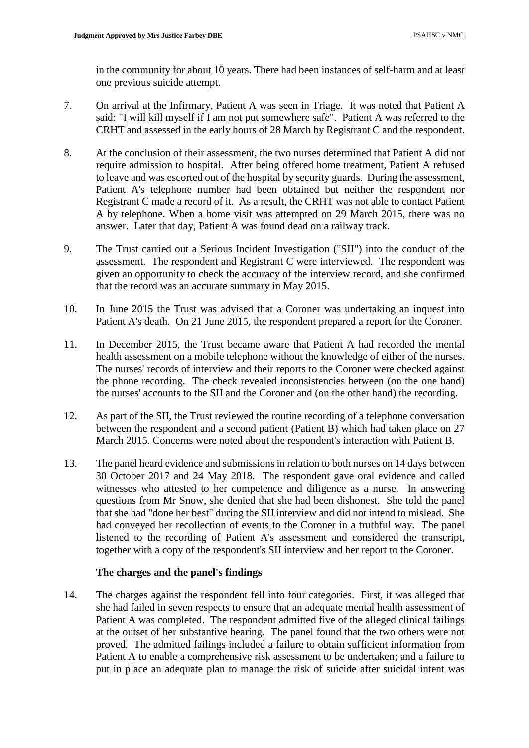in the community for about 10 years. There had been instances of self-harm and at least one previous suicide attempt.

- 7. On arrival at the Infirmary, Patient A was seen in Triage. It was noted that Patient A said: "I will kill myself if I am not put somewhere safe". Patient A was referred to the CRHT and assessed in the early hours of 28 March by Registrant C and the respondent.
- 8. At the conclusion of their assessment, the two nurses determined that Patient A did not require admission to hospital. After being offered home treatment, Patient A refused to leave and was escorted out of the hospital by security guards. During the assessment, Patient A's telephone number had been obtained but neither the respondent nor Registrant C made a record of it. As a result, the CRHT was not able to contact Patient A by telephone. When a home visit was attempted on 29 March 2015, there was no answer. Later that day, Patient A was found dead on a railway track.
- 9. The Trust carried out a Serious Incident Investigation ("SII") into the conduct of the assessment. The respondent and Registrant C were interviewed. The respondent was given an opportunity to check the accuracy of the interview record, and she confirmed that the record was an accurate summary in May 2015.
- 10. In June 2015 the Trust was advised that a Coroner was undertaking an inquest into Patient A's death. On 21 June 2015, the respondent prepared a report for the Coroner.
- 11. In December 2015, the Trust became aware that Patient A had recorded the mental health assessment on a mobile telephone without the knowledge of either of the nurses. The nurses' records of interview and their reports to the Coroner were checked against the phone recording. The check revealed inconsistencies between (on the one hand) the nurses' accounts to the SII and the Coroner and (on the other hand) the recording.
- 12. As part of the SII, the Trust reviewed the routine recording of a telephone conversation between the respondent and a second patient (Patient B) which had taken place on 27 March 2015. Concerns were noted about the respondent's interaction with Patient B.
- 13. The panel heard evidence and submissions in relation to both nurses on 14 days between 30 October 2017 and 24 May 2018. The respondent gave oral evidence and called witnesses who attested to her competence and diligence as a nurse. In answering questions from Mr Snow, she denied that she had been dishonest. She told the panel that she had "done her best" during the SII interview and did not intend to mislead. She had conveyed her recollection of events to the Coroner in a truthful way. The panel listened to the recording of Patient A's assessment and considered the transcript, together with a copy of the respondent's SII interview and her report to the Coroner.

#### **The charges and the panel's findings**

14. The charges against the respondent fell into four categories. First, it was alleged that she had failed in seven respects to ensure that an adequate mental health assessment of Patient A was completed. The respondent admitted five of the alleged clinical failings at the outset of her substantive hearing. The panel found that the two others were not proved. The admitted failings included a failure to obtain sufficient information from Patient A to enable a comprehensive risk assessment to be undertaken; and a failure to put in place an adequate plan to manage the risk of suicide after suicidal intent was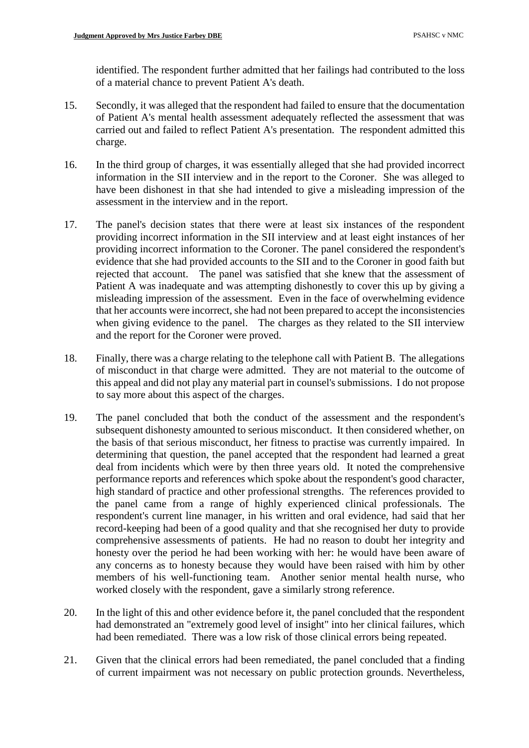identified. The respondent further admitted that her failings had contributed to the loss of a material chance to prevent Patient A's death.

- 15. Secondly, it was alleged that the respondent had failed to ensure that the documentation of Patient A's mental health assessment adequately reflected the assessment that was carried out and failed to reflect Patient A's presentation. The respondent admitted this charge.
- 16. In the third group of charges, it was essentially alleged that she had provided incorrect information in the SII interview and in the report to the Coroner. She was alleged to have been dishonest in that she had intended to give a misleading impression of the assessment in the interview and in the report.
- 17. The panel's decision states that there were at least six instances of the respondent providing incorrect information in the SII interview and at least eight instances of her providing incorrect information to the Coroner. The panel considered the respondent's evidence that she had provided accounts to the SII and to the Coroner in good faith but rejected that account. The panel was satisfied that she knew that the assessment of Patient A was inadequate and was attempting dishonestly to cover this up by giving a misleading impression of the assessment. Even in the face of overwhelming evidence that her accounts were incorrect, she had not been prepared to accept the inconsistencies when giving evidence to the panel. The charges as they related to the SII interview and the report for the Coroner were proved.
- 18. Finally, there was a charge relating to the telephone call with Patient B. The allegations of misconduct in that charge were admitted. They are not material to the outcome of this appeal and did not play any material part in counsel's submissions. I do not propose to say more about this aspect of the charges.
- 19. The panel concluded that both the conduct of the assessment and the respondent's subsequent dishonesty amounted to serious misconduct. It then considered whether, on the basis of that serious misconduct, her fitness to practise was currently impaired. In determining that question, the panel accepted that the respondent had learned a great deal from incidents which were by then three years old. It noted the comprehensive performance reports and references which spoke about the respondent's good character, high standard of practice and other professional strengths. The references provided to the panel came from a range of highly experienced clinical professionals. The respondent's current line manager, in his written and oral evidence, had said that her record-keeping had been of a good quality and that she recognised her duty to provide comprehensive assessments of patients. He had no reason to doubt her integrity and honesty over the period he had been working with her: he would have been aware of any concerns as to honesty because they would have been raised with him by other members of his well-functioning team. Another senior mental health nurse, who worked closely with the respondent, gave a similarly strong reference.
- 20. In the light of this and other evidence before it, the panel concluded that the respondent had demonstrated an "extremely good level of insight" into her clinical failures, which had been remediated. There was a low risk of those clinical errors being repeated.
- 21. Given that the clinical errors had been remediated, the panel concluded that a finding of current impairment was not necessary on public protection grounds. Nevertheless,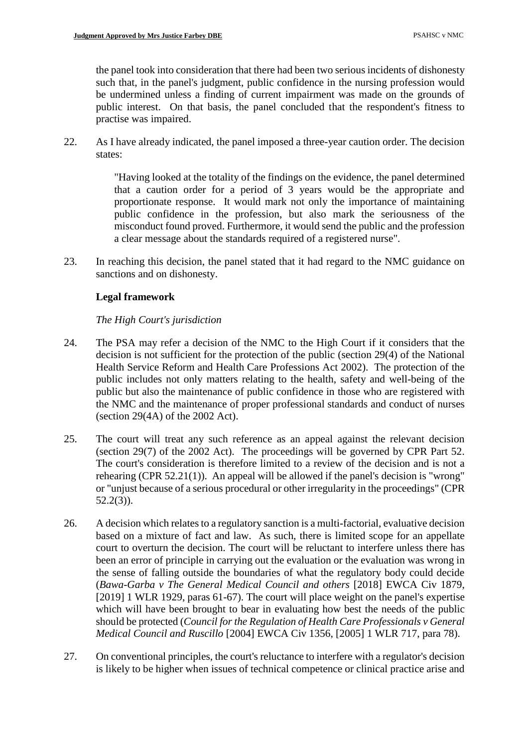the panel took into consideration that there had been two serious incidents of dishonesty such that, in the panel's judgment, public confidence in the nursing profession would be undermined unless a finding of current impairment was made on the grounds of public interest. On that basis, the panel concluded that the respondent's fitness to practise was impaired.

22. As I have already indicated, the panel imposed a three-year caution order. The decision states:

> "Having looked at the totality of the findings on the evidence, the panel determined that a caution order for a period of 3 years would be the appropriate and proportionate response. It would mark not only the importance of maintaining public confidence in the profession, but also mark the seriousness of the misconduct found proved. Furthermore, it would send the public and the profession a clear message about the standards required of a registered nurse".

23. In reaching this decision, the panel stated that it had regard to the NMC guidance on sanctions and on dishonesty.

# **Legal framework**

## *The High Court's jurisdiction*

- 24. The PSA may refer a decision of the NMC to the High Court if it considers that the decision is not sufficient for the protection of the public (section 29(4) of the National Health Service Reform and Health Care Professions Act 2002). The protection of the public includes not only matters relating to the health, safety and well-being of the public but also the maintenance of public confidence in those who are registered with the NMC and the maintenance of proper professional standards and conduct of nurses (section 29(4A) of the 2002 Act).
- 25. The court will treat any such reference as an appeal against the relevant decision (section 29(7) of the 2002 Act). The proceedings will be governed by CPR Part 52. The court's consideration is therefore limited to a review of the decision and is not a rehearing (CPR 52.21(1)). An appeal will be allowed if the panel's decision is "wrong" or "unjust because of a serious procedural or other irregularity in the proceedings" (CPR 52.2(3)).
- 26. A decision which relates to a regulatory sanction is a multi-factorial, evaluative decision based on a mixture of fact and law. As such, there is limited scope for an appellate court to overturn the decision. The court will be reluctant to interfere unless there has been an error of principle in carrying out the evaluation or the evaluation was wrong in the sense of falling outside the boundaries of what the regulatory body could decide (*Bawa-Garba v The General Medical Council and others* [2018] EWCA Civ 1879, [2019] 1 WLR 1929, paras 61-67). The court will place weight on the panel's expertise which will have been brought to bear in evaluating how best the needs of the public should be protected (*Council for the Regulation of Health Care Professionals v General Medical Council and Ruscillo* [2004] EWCA Civ 1356, [2005] 1 WLR 717, para 78).
- 27. On conventional principles, the court's reluctance to interfere with a regulator's decision is likely to be higher when issues of technical competence or clinical practice arise and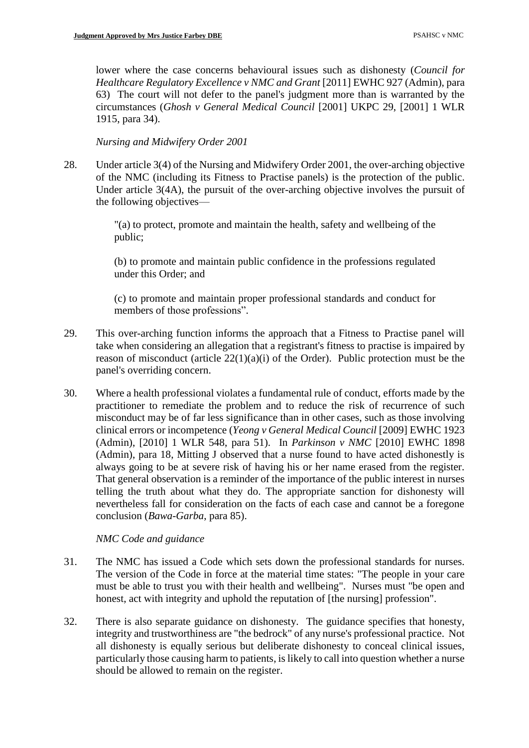lower where the case concerns behavioural issues such as dishonesty (*Council for Healthcare Regulatory Excellence v NMC and Grant* [2011] EWHC 927 (Admin), para 63) The court will not defer to the panel's judgment more than is warranted by the circumstances (*Ghosh v General Medical Council* [2001] UKPC 29, [2001] 1 WLR 1915, para 34).

*Nursing and Midwifery Order 2001*

28. Under article 3(4) of the Nursing and Midwifery Order 2001, the over-arching objective of the NMC (including its Fitness to Practise panels) is the protection of the public. Under article 3(4A), the pursuit of the over-arching objective involves the pursuit of the following objectives—

> "(a) to protect, promote and maintain the health, safety and wellbeing of the public;

> (b) to promote and maintain public confidence in the professions regulated under this Order; and

> (c) to promote and maintain proper professional standards and conduct for members of those professions".

- 29. This over-arching function informs the approach that a Fitness to Practise panel will take when considering an allegation that a registrant's fitness to practise is impaired by reason of misconduct (article  $22(1)(a)(i)$  of the Order). Public protection must be the panel's overriding concern.
- 30. Where a health professional violates a fundamental rule of conduct, efforts made by the practitioner to remediate the problem and to reduce the risk of recurrence of such misconduct may be of far less significance than in other cases, such as those involving clinical errors or incompetence (*Yeong v General Medical Council* [2009] EWHC 1923 (Admin), [2010] 1 WLR 548, para 51). In *Parkinson v NMC* [2010] EWHC 1898 (Admin), para 18, Mitting J observed that a nurse found to have acted dishonestly is always going to be at severe risk of having his or her name erased from the register. That general observation is a reminder of the importance of the public interest in nurses telling the truth about what they do. The appropriate sanction for dishonesty will nevertheless fall for consideration on the facts of each case and cannot be a foregone conclusion (*Bawa-Garba*, para 85).

*NMC Code and guidance* 

- 31. The NMC has issued a Code which sets down the professional standards for nurses. The version of the Code in force at the material time states: "The people in your care must be able to trust you with their health and wellbeing". Nurses must "be open and honest, act with integrity and uphold the reputation of [the nursing] profession".
- 32. There is also separate guidance on dishonesty. The guidance specifies that honesty, integrity and trustworthiness are "the bedrock" of any nurse's professional practice. Not all dishonesty is equally serious but deliberate dishonesty to conceal clinical issues, particularly those causing harm to patients, is likely to call into question whether a nurse should be allowed to remain on the register.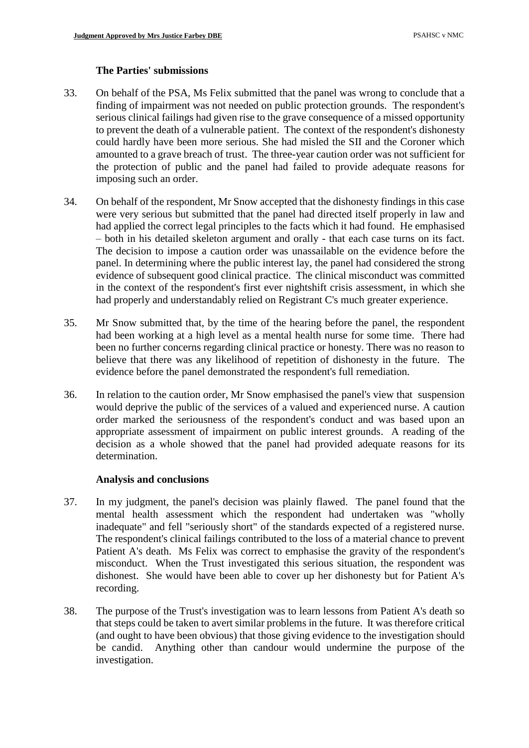### **The Parties' submissions**

- 33. On behalf of the PSA, Ms Felix submitted that the panel was wrong to conclude that a finding of impairment was not needed on public protection grounds. The respondent's serious clinical failings had given rise to the grave consequence of a missed opportunity to prevent the death of a vulnerable patient. The context of the respondent's dishonesty could hardly have been more serious. She had misled the SII and the Coroner which amounted to a grave breach of trust. The three-year caution order was not sufficient for the protection of public and the panel had failed to provide adequate reasons for imposing such an order.
- 34. On behalf of the respondent, Mr Snow accepted that the dishonesty findings in this case were very serious but submitted that the panel had directed itself properly in law and had applied the correct legal principles to the facts which it had found. He emphasised – both in his detailed skeleton argument and orally - that each case turns on its fact. The decision to impose a caution order was unassailable on the evidence before the panel. In determining where the public interest lay, the panel had considered the strong evidence of subsequent good clinical practice. The clinical misconduct was committed in the context of the respondent's first ever nightshift crisis assessment, in which she had properly and understandably relied on Registrant C's much greater experience.
- 35. Mr Snow submitted that, by the time of the hearing before the panel, the respondent had been working at a high level as a mental health nurse for some time. There had been no further concerns regarding clinical practice or honesty. There was no reason to believe that there was any likelihood of repetition of dishonesty in the future. The evidence before the panel demonstrated the respondent's full remediation.
- 36. In relation to the caution order, Mr Snow emphasised the panel's view that suspension would deprive the public of the services of a valued and experienced nurse. A caution order marked the seriousness of the respondent's conduct and was based upon an appropriate assessment of impairment on public interest grounds. A reading of the decision as a whole showed that the panel had provided adequate reasons for its determination.

#### **Analysis and conclusions**

- 37. In my judgment, the panel's decision was plainly flawed. The panel found that the mental health assessment which the respondent had undertaken was "wholly inadequate" and fell "seriously short" of the standards expected of a registered nurse. The respondent's clinical failings contributed to the loss of a material chance to prevent Patient A's death. Ms Felix was correct to emphasise the gravity of the respondent's misconduct. When the Trust investigated this serious situation, the respondent was dishonest. She would have been able to cover up her dishonesty but for Patient A's recording.
- 38. The purpose of the Trust's investigation was to learn lessons from Patient A's death so that steps could be taken to avert similar problems in the future. It was therefore critical (and ought to have been obvious) that those giving evidence to the investigation should be candid. Anything other than candour would undermine the purpose of the investigation.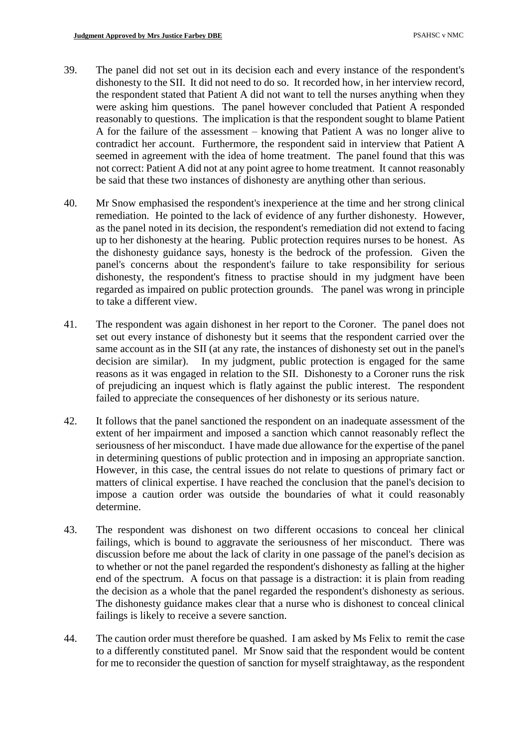- 39. The panel did not set out in its decision each and every instance of the respondent's dishonesty to the SII. It did not need to do so. It recorded how, in her interview record, the respondent stated that Patient A did not want to tell the nurses anything when they were asking him questions. The panel however concluded that Patient A responded reasonably to questions. The implication is that the respondent sought to blame Patient A for the failure of the assessment – knowing that Patient A was no longer alive to contradict her account. Furthermore, the respondent said in interview that Patient A seemed in agreement with the idea of home treatment. The panel found that this was not correct: Patient A did not at any point agree to home treatment. It cannot reasonably be said that these two instances of dishonesty are anything other than serious.
- 40. Mr Snow emphasised the respondent's inexperience at the time and her strong clinical remediation. He pointed to the lack of evidence of any further dishonesty. However, as the panel noted in its decision, the respondent's remediation did not extend to facing up to her dishonesty at the hearing. Public protection requires nurses to be honest. As the dishonesty guidance says, honesty is the bedrock of the profession. Given the panel's concerns about the respondent's failure to take responsibility for serious dishonesty, the respondent's fitness to practise should in my judgment have been regarded as impaired on public protection grounds. The panel was wrong in principle to take a different view.
- 41. The respondent was again dishonest in her report to the Coroner. The panel does not set out every instance of dishonesty but it seems that the respondent carried over the same account as in the SII (at any rate, the instances of dishonesty set out in the panel's decision are similar). In my judgment, public protection is engaged for the same reasons as it was engaged in relation to the SII. Dishonesty to a Coroner runs the risk of prejudicing an inquest which is flatly against the public interest. The respondent failed to appreciate the consequences of her dishonesty or its serious nature.
- 42. It follows that the panel sanctioned the respondent on an inadequate assessment of the extent of her impairment and imposed a sanction which cannot reasonably reflect the seriousness of her misconduct. I have made due allowance for the expertise of the panel in determining questions of public protection and in imposing an appropriate sanction. However, in this case, the central issues do not relate to questions of primary fact or matters of clinical expertise. I have reached the conclusion that the panel's decision to impose a caution order was outside the boundaries of what it could reasonably determine.
- 43. The respondent was dishonest on two different occasions to conceal her clinical failings, which is bound to aggravate the seriousness of her misconduct. There was discussion before me about the lack of clarity in one passage of the panel's decision as to whether or not the panel regarded the respondent's dishonesty as falling at the higher end of the spectrum. A focus on that passage is a distraction: it is plain from reading the decision as a whole that the panel regarded the respondent's dishonesty as serious. The dishonesty guidance makes clear that a nurse who is dishonest to conceal clinical failings is likely to receive a severe sanction.
- 44. The caution order must therefore be quashed. I am asked by Ms Felix to remit the case to a differently constituted panel. Mr Snow said that the respondent would be content for me to reconsider the question of sanction for myself straightaway, as the respondent